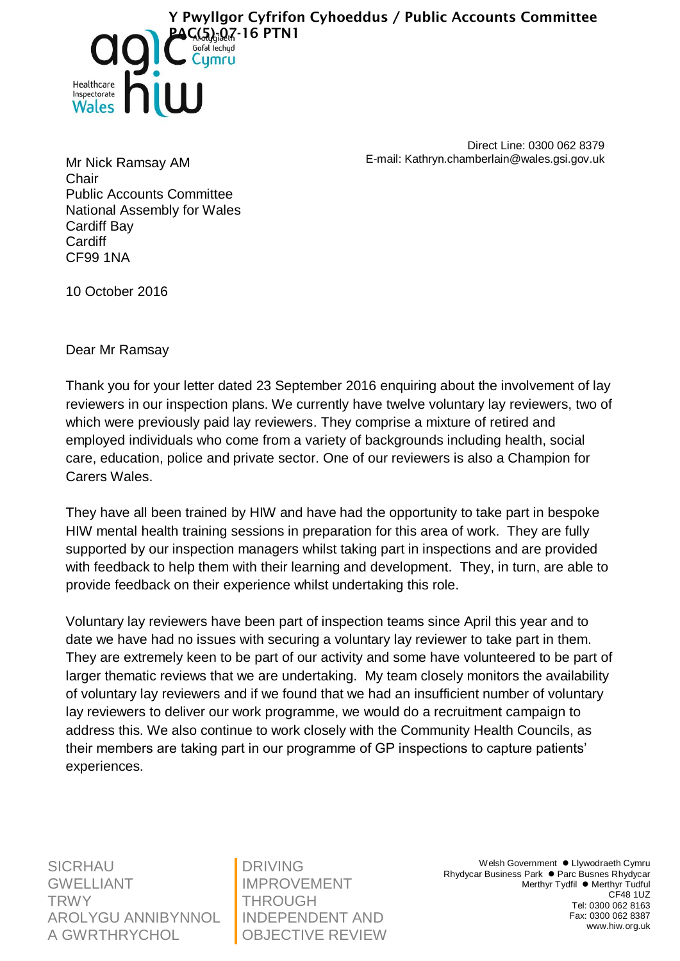

Direct Line: 0300 062 8379 E-mail: Kathryn.chamberlain@wales.gsi.gov.uk

Mr Nick Ramsay AM Chair Public Accounts Committee National Assembly for Wales Cardiff Bay **Cardiff** CF99 1NA

10 October 2016

Dear Mr Ramsay

Thank you for your letter dated 23 September 2016 enquiring about the involvement of lay reviewers in our inspection plans. We currently have twelve voluntary lay reviewers, two of which were previously paid lay reviewers. They comprise a mixture of retired and employed individuals who come from a variety of backgrounds including health, social care, education, police and private sector. One of our reviewers is also a Champion for Carers Wales.

They have all been trained by HIW and have had the opportunity to take part in bespoke HIW mental health training sessions in preparation for this area of work. They are fully supported by our inspection managers whilst taking part in inspections and are provided with feedback to help them with their learning and development. They, in turn, are able to provide feedback on their experience whilst undertaking this role.

Voluntary lay reviewers have been part of inspection teams since April this year and to date we have had no issues with securing a voluntary lay reviewer to take part in them. They are extremely keen to be part of our activity and some have volunteered to be part of larger thematic reviews that we are undertaking. My team closely monitors the availability of voluntary lay reviewers and if we found that we had an insufficient number of voluntary lay reviewers to deliver our work programme, we would do a recruitment campaign to address this. We also continue to work closely with the Community Health Councils, as their members are taking part in our programme of GP inspections to capture patients' experiences.

**SICRHAU** GWELLIANT **TRWY** AROLYGU ANNIBYNNOL A GWRTHRYCHOL

DRIVING IMPROVEMENT THROUGH INDEPENDENT AND OBJECTIVE REVIEW

Welsh Government . Llywodraeth Cymru Rhydycar Business Park ● Parc Busnes Rhydycar Merthyr Tydfil ● Merthyr Tudful CF48 1UZ Tel: 0300 062 8163 Fax: 0300 062 8387 www.hiw.org.uk